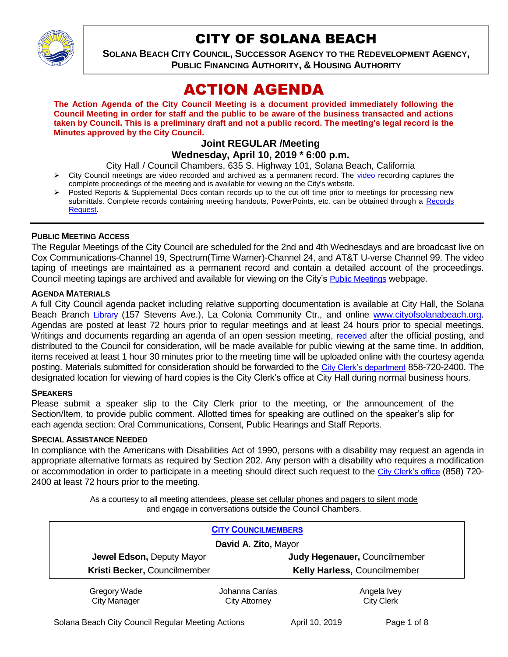

# CITY OF SOLANA BEACH

**SOLANA BEACH CITY COUNCIL, SUCCESSOR AGENCY TO THE REDEVELOPMENT AGENCY, PUBLIC FINANCING AUTHORITY, & HOUSING AUTHORITY** 

# ACTION AGENDA

**The Action Agenda of the City Council Meeting is a document provided immediately following the Council Meeting in order for staff and the public to be aware of the business transacted and actions taken by Council. This is a preliminary draft and not a public record. The meeting's legal record is the Minutes approved by the City Council.**

## **Joint REGULAR /Meeting Wednesday, April 10, 2019 \* 6:00 p.m.**

City Hall / Council Chambers, 635 S. Highway 101, Solana Beach, California

- $\triangleright$  City Council meetings are [video r](https://solanabeach.12milesout.com/#page=1)ecorded and archived as a permanent record. The video recording captures the complete proceedings of the meeting and is available for viewing on the City's website.
- Posted Reports & Supplemental Docs contain records up to the cut off time prior to meetings for processing new submittals. Complete records containing meeting handouts, PowerPoints, etc. can be obtained through a Records [Request.](http://www.ci.solana-beach.ca.us/index.asp?SEC=F5D45D10-70CE-4291-A27C-7BD633FC6742&Type=B_BASIC)

## **PUBLIC MEETING ACCESS**

The Regular Meetings of the City Council are scheduled for the 2nd and 4th Wednesdays and are broadcast live on Cox Communications-Channel 19, Spectrum(Time Warner)-Channel 24, and AT&T U-verse Channel 99. The video taping of meetings are maintained as a permanent record and contain a detailed account of the proceedings. Council meeting tapings are archived and available for viewing on the City's [Public Meetings](https://www.ci.solana-beach.ca.us/index.asp?SEC=F0F1200D-21C6-4A88-8AE1-0BC07C1A81A7&Type=B_BASIC) webpage.

#### **AGENDA MATERIALS**

A full City Council agenda packet including relative supporting documentation is available at City Hall, the Solana Beach Branch [Library](http://www.sdcl.org/locations_SB.html) (157 Stevens Ave.), La Colonia Community Ctr., and online [www.cityofsolanabeach.org.](http://www.cityofsolanabeach.org/) Agendas are posted at least 72 hours prior to regular meetings and at least 24 hours prior to special meetings. Writings and documents regarding an agenda of an open session meeting, [received](mailto:EMAILGRP-CityClerksOfc@cosb.org) after the official posting, and distributed to the Council for consideration, will be made available for public viewing at the same time. In addition, items received at least 1 hour 30 minutes prior to the meeting time will be uploaded online with the courtesy agenda posting. Materials submitted for consideration should be forwarded to the [City Clerk's department](mailto:EMAILGRP-CityClerksOfc@cosb.org) 858-720-2400. The designated location for viewing of hard copies is the City Clerk's office at City Hall during normal business hours.

#### **SPEAKERS**

Please submit a speaker slip to the City Clerk prior to the meeting, or the announcement of the Section/Item, to provide public comment. Allotted times for speaking are outlined on the speaker's slip for each agenda section: Oral Communications, Consent, Public Hearings and Staff Reports.

#### **SPECIAL ASSISTANCE NEEDED**

In compliance with the Americans with Disabilities Act of 1990, persons with a disability may request an agenda in appropriate alternative formats as required by Section 202. Any person with a disability who requires a modification or accommodation in order to participate in a meeting should direct such request to the [City Clerk's office](mailto:clerkadmin@cosb.org?subject=City%20Clerk%20Notice%20of%20Special%20Services%20Needed) (858) 720- 2400 at least 72 hours prior to the meeting.

> As a courtesy to all meeting attendees, please set cellular phones and pagers to silent mode and engage in conversations outside the Council Chambers.

|                              | <b>CITY COUNCILMEMBERS</b> |                               |  |
|------------------------------|----------------------------|-------------------------------|--|
| David A. Zito, Mayor         |                            |                               |  |
| Jewel Edson, Deputy Mayor    |                            | Judy Hegenauer, Councilmember |  |
| Kristi Becker, Councilmember |                            | Kelly Harless, Councilmember  |  |
| Gregory Wade                 | Johanna Canlas             | Angela Ivey                   |  |
| <b>City Manager</b>          | <b>City Attorney</b>       | <b>City Clerk</b>             |  |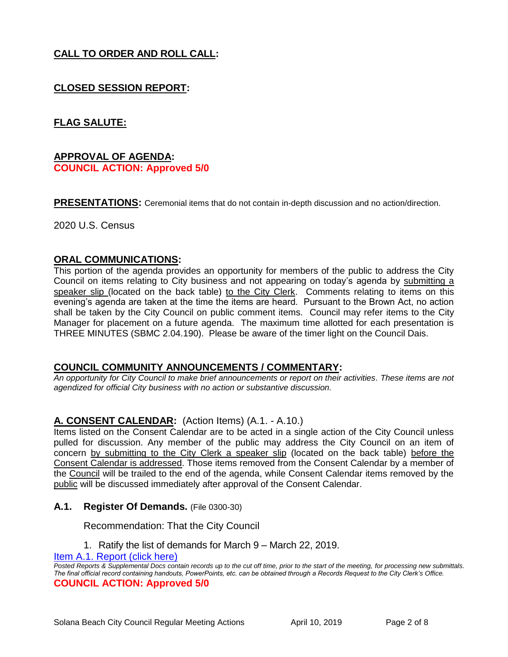# **CALL TO ORDER AND ROLL CALL:**

# **CLOSED SESSION REPORT:**

## **FLAG SALUTE:**

## **APPROVAL OF AGENDA: COUNCIL ACTION: Approved 5/0**

**PRESENTATIONS:** Ceremonial items that do not contain in-depth discussion and no action/direction.

2020 U.S. Census

#### **ORAL COMMUNICATIONS:**

This portion of the agenda provides an opportunity for members of the public to address the City Council on items relating to City business and not appearing on today's agenda by submitting a speaker slip (located on the back table) to the City Clerk. Comments relating to items on this evening's agenda are taken at the time the items are heard. Pursuant to the Brown Act, no action shall be taken by the City Council on public comment items. Council may refer items to the City Manager for placement on a future agenda. The maximum time allotted for each presentation is THREE MINUTES (SBMC 2.04.190). Please be aware of the timer light on the Council Dais.

#### **COUNCIL COMMUNITY ANNOUNCEMENTS / COMMENTARY:**

*An opportunity for City Council to make brief announcements or report on their activities. These items are not agendized for official City business with no action or substantive discussion.* 

## **A. CONSENT CALENDAR:** (Action Items) (A.1. - A.10.)

Items listed on the Consent Calendar are to be acted in a single action of the City Council unless pulled for discussion. Any member of the public may address the City Council on an item of concern by submitting to the City Clerk a speaker slip (located on the back table) before the Consent Calendar is addressed. Those items removed from the Consent Calendar by a member of the Council will be trailed to the end of the agenda, while Consent Calendar items removed by the public will be discussed immediately after approval of the Consent Calendar.

#### **A.1. Register Of Demands.** (File 0300-30)

#### Recommendation: That the City Council

1. Ratify the list of demands for March 9 – March 22, 2019.

Item A.1. Report (click here)

*Posted Reports & Supplemental Docs contain records up to the cut off time, prior to the start of the meeting, for processing new submittals. The final official record containing handouts, PowerPoints, etc. can be obtained through a Records Request to the City Clerk's Office.* **COUNCIL ACTION: Approved 5/0**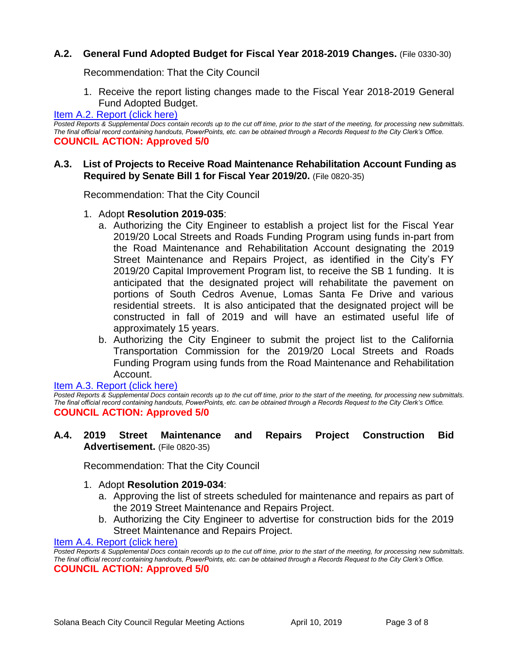## **A.2. General Fund Adopted Budget for Fiscal Year 2018-2019 Changes.** (File 0330-30)

Recommendation: That the City Council

1. Receive the report listing changes made to the Fiscal Year 2018-2019 General Fund Adopted Budget.

## [Item A.2. Report \(click here\)](https://solanabeach.govoffice3.com/vertical/Sites/%7B840804C2-F869-4904-9AE3-720581350CE7%7D/uploads/Item_A.2._Report_(click_here)_04-10-19_-_O.pdf)

*Posted Reports & Supplemental Docs contain records up to the cut off time, prior to the start of the meeting, for processing new submittals. The final official record containing handouts, PowerPoints, etc. can be obtained through a Records Request to the City Clerk's Office.* **COUNCIL ACTION: Approved 5/0**

## **A.3. List of Projects to Receive Road Maintenance Rehabilitation Account Funding as Required by Senate Bill 1 for Fiscal Year 2019/20.** (File 0820-35)

Recommendation: That the City Council

- 1. Adopt **Resolution 2019-035**:
	- a. Authorizing the City Engineer to establish a project list for the Fiscal Year 2019/20 Local Streets and Roads Funding Program using funds in-part from the Road Maintenance and Rehabilitation Account designating the 2019 Street Maintenance and Repairs Project, as identified in the City's FY 2019/20 Capital Improvement Program list, to receive the SB 1 funding. It is anticipated that the designated project will rehabilitate the pavement on portions of South Cedros Avenue, Lomas Santa Fe Drive and various residential streets. It is also anticipated that the designated project will be constructed in fall of 2019 and will have an estimated useful life of approximately 15 years.
	- b. Authorizing the City Engineer to submit the project list to the California Transportation Commission for the 2019/20 Local Streets and Roads Funding Program using funds from the Road Maintenance and Rehabilitation Account.

[Item A.3. Report \(click here\)](https://solanabeach.govoffice3.com/vertical/Sites/%7B840804C2-F869-4904-9AE3-720581350CE7%7D/uploads/Item_A.3._Report_(click_here)_04-10-19_-_O.pdf)  *Posted Reports & Supplemental Docs contain records up to the cut off time, prior to the start of the meeting, for processing new submittals. The final official record containing handouts, PowerPoints, etc. can be obtained through a Records Request to the City Clerk's Office.* **COUNCIL ACTION: Approved 5/0**

## **A.4. 2019 Street Maintenance and Repairs Project Construction Bid Advertisement.** (File 0820-35)

Recommendation: That the City Council

#### 1. Adopt **Resolution 2019-034**:

- a. Approving the list of streets scheduled for maintenance and repairs as part of the 2019 Street Maintenance and Repairs Project.
- b. Authorizing the City Engineer to advertise for construction bids for the 2019 Street Maintenance and Repairs Project.

[Item A.4. Report \(click here\)](https://solanabeach.govoffice3.com/vertical/Sites/%7B840804C2-F869-4904-9AE3-720581350CE7%7D/uploads/Item_A.4._Report_(click_here)_04-10-19_-_O.pdf) 

*Posted Reports & Supplemental Docs contain records up to the cut off time, prior to the start of the meeting, for processing new submittals. The final official record containing handouts, PowerPoints, etc. can be obtained through a Records Request to the City Clerk's Office.* **COUNCIL ACTION: Approved 5/0**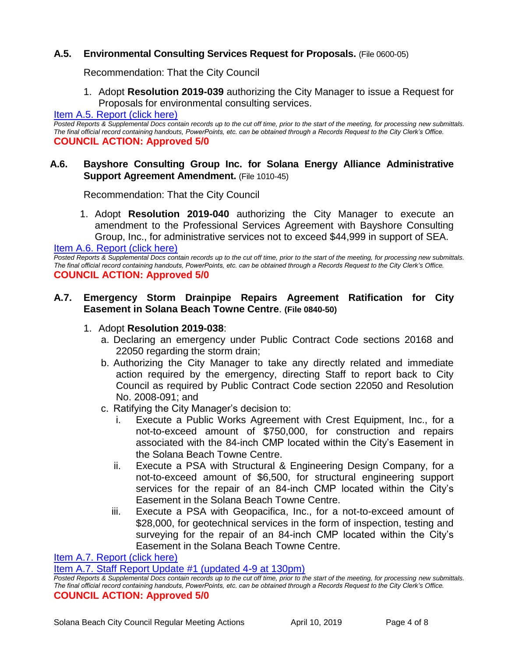## **A.5. Environmental Consulting Services Request for Proposals.** (File 0600-05)

Recommendation: That the City Council

1. Adopt **Resolution 2019-039** authorizing the City Manager to issue a Request for Proposals for environmental consulting services.

#### [Item A.5. Report \(click here\)](https://solanabeach.govoffice3.com/vertical/Sites/%7B840804C2-F869-4904-9AE3-720581350CE7%7D/uploads/Item_A.5._Report_(click_here)_04-10-19_-_O.pdf)

*Posted Reports & Supplemental Docs contain records up to the cut off time, prior to the start of the meeting, for processing new submittals. The final official record containing handouts, PowerPoints, etc. can be obtained through a Records Request to the City Clerk's Office.* **COUNCIL ACTION: Approved 5/0**

### **A.6. Bayshore Consulting Group Inc. for Solana Energy Alliance Administrative Support Agreement Amendment.** (File 1010-45)

Recommendation: That the City Council

1. Adopt **Resolution 2019-040** authorizing the City Manager to execute an amendment to the Professional Services Agreement with Bayshore Consulting Group, Inc., for administrative services not to exceed \$44,999 in support of SEA.

[Item A.6. Report \(click here\)](https://solanabeach.govoffice3.com/vertical/Sites/%7B840804C2-F869-4904-9AE3-720581350CE7%7D/uploads/Item_A.6._Report_(click_here)_04-10-19_-_O.pdf) 

*Posted Reports & Supplemental Docs contain records up to the cut off time, prior to the start of the meeting, for processing new submittals. The final official record containing handouts, PowerPoints, etc. can be obtained through a Records Request to the City Clerk's Office.* **COUNCIL ACTION: Approved 5/0**

## **A.7. Emergency Storm Drainpipe Repairs Agreement Ratification for City Easement in Solana Beach Towne Centre**. **(File 0840-50)**

### 1. Adopt **Resolution 2019-038**:

- a. Declaring an emergency under Public Contract Code sections 20168 and 22050 regarding the storm drain;
- b. Authorizing the City Manager to take any directly related and immediate action required by the emergency, directing Staff to report back to City Council as required by Public Contract Code section 22050 and Resolution No. 2008-091; and
- c. Ratifying the City Manager's decision to:
	- i. Execute a Public Works Agreement with Crest Equipment, Inc., for a not-to-exceed amount of \$750,000, for construction and repairs associated with the 84-inch CMP located within the City's Easement in the Solana Beach Towne Centre.
	- ii. Execute a PSA with Structural & Engineering Design Company, for a not-to-exceed amount of \$6,500, for structural engineering support services for the repair of an 84-inch CMP located within the City's Easement in the Solana Beach Towne Centre.
	- iii. Execute a PSA with Geopacifica, Inc., for a not-to-exceed amount of \$28,000, for geotechnical services in the form of inspection, testing and surveying for the repair of an 84-inch CMP located within the City's Easement in the Solana Beach Towne Centre.

#### [Item A.7. Report \(click here\)](https://solanabeach.govoffice3.com/vertical/Sites/%7B840804C2-F869-4904-9AE3-720581350CE7%7D/uploads/Item_A.7._Report_(click_here)_04-10-19_-_O.pdf)

[Item A.7. Staff Report Update #1 \(updated 4-9 at 130pm\)](https://solanabeach.govoffice3.com/vertical/Sites/%7B840804C2-F869-4904-9AE3-720581350CE7%7D/uploads/Item_A.7._Updated_Report_1-O.pdf)

Posted Reports & Supplemental Docs contain records up to the cut off time, prior to the start of the meeting, for processing new submittals. *The final official record containing handouts, PowerPoints, etc. can be obtained through a Records Request to the City Clerk's Office.* **COUNCIL ACTION: Approved 5/0**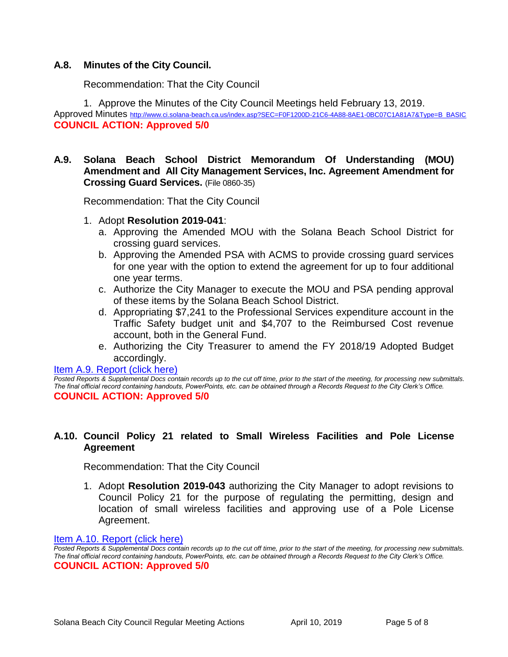## **A.8. Minutes of the City Council.**

Recommendation: That the City Council

1. Approve the Minutes of the City Council Meetings held February 13, 2019.

Approved Minutes [http://www.ci.solana-beach.ca.us/index.asp?SEC=F0F1200D-21C6-4A88-8AE1-0BC07C1A81A7&Type=B\\_BASIC](http://www.ci.solana-beach.ca.us/index.asp?SEC=F0F1200D-21C6-4A88-8AE1-0BC07C1A81A7&Type=B_BASIC) **COUNCIL ACTION: Approved 5/0**

## **A.9. Solana Beach School District Memorandum Of Understanding (MOU) Amendment and All City Management Services, Inc. Agreement Amendment for Crossing Guard Services.** (File 0860-35)

Recommendation: That the City Council

- 1. Adopt **Resolution 2019-041**:
	- a. Approving the Amended MOU with the Solana Beach School District for crossing guard services.
	- b. Approving the Amended PSA with ACMS to provide crossing guard services for one year with the option to extend the agreement for up to four additional one year terms.
	- c. Authorize the City Manager to execute the MOU and PSA pending approval of these items by the Solana Beach School District.
	- d. Appropriating \$7,241 to the Professional Services expenditure account in the Traffic Safety budget unit and \$4,707 to the Reimbursed Cost revenue account, both in the General Fund.
	- e. Authorizing the City Treasurer to amend the FY 2018/19 Adopted Budget accordingly.

#### [Item A.9. Report \(click here\)](https://solanabeach.govoffice3.com/vertical/Sites/%7B840804C2-F869-4904-9AE3-720581350CE7%7D/uploads/Item_A.9._Report_(click_here)_04-10-19_-_O.pdf)

*Posted Reports & Supplemental Docs contain records up to the cut off time, prior to the start of the meeting, for processing new submittals. The final official record containing handouts, PowerPoints, etc. can be obtained through a Records Request to the City Clerk's Office.* **COUNCIL ACTION: Approved 5/0**

## **A.10. Council Policy 21 related to Small Wireless Facilities and Pole License Agreement**

Recommendation: That the City Council

1. Adopt **Resolution 2019-043** authorizing the City Manager to adopt revisions to Council Policy 21 for the purpose of regulating the permitting, design and location of small wireless facilities and approving use of a Pole License Agreement.

#### [Item A.10. Report \(click here\)](https://solanabeach.govoffice3.com/vertical/Sites/%7B840804C2-F869-4904-9AE3-720581350CE7%7D/uploads/Item_A.10._Report_(click_here)_04-10-19_-_O.pdf)

*Posted Reports & Supplemental Docs contain records up to the cut off time, prior to the start of the meeting, for processing new submittals. The final official record containing handouts, PowerPoints, etc. can be obtained through a Records Request to the City Clerk's Office.* **COUNCIL ACTION: Approved 5/0**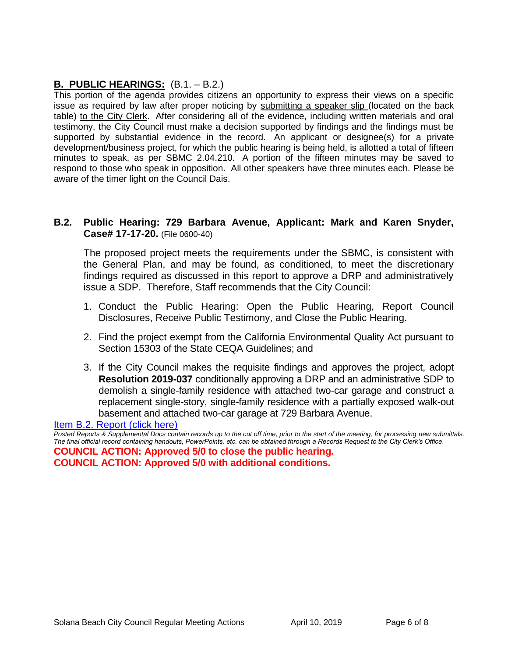# **B. PUBLIC HEARINGS:** (B.1. – B.2.)

This portion of the agenda provides citizens an opportunity to express their views on a specific issue as required by law after proper noticing by submitting a speaker slip (located on the back table) to the City Clerk. After considering all of the evidence, including written materials and oral testimony, the City Council must make a decision supported by findings and the findings must be supported by substantial evidence in the record. An applicant or designee(s) for a private development/business project, for which the public hearing is being held, is allotted a total of fifteen minutes to speak, as per SBMC 2.04.210. A portion of the fifteen minutes may be saved to respond to those who speak in opposition. All other speakers have three minutes each. Please be aware of the timer light on the Council Dais.

## **B.2. Public Hearing: 729 Barbara Avenue, Applicant: Mark and Karen Snyder, Case# 17-17-20.** (File 0600-40)

The proposed project meets the requirements under the SBMC, is consistent with the General Plan, and may be found, as conditioned, to meet the discretionary findings required as discussed in this report to approve a DRP and administratively issue a SDP. Therefore, Staff recommends that the City Council:

- 1. Conduct the Public Hearing: Open the Public Hearing, Report Council Disclosures, Receive Public Testimony, and Close the Public Hearing.
- 2. Find the project exempt from the California Environmental Quality Act pursuant to Section 15303 of the State CEQA Guidelines; and
- 3. If the City Council makes the requisite findings and approves the project, adopt **Resolution 2019-037** conditionally approving a DRP and an administrative SDP to demolish a single-family residence with attached two-car garage and construct a replacement single-story, single-family residence with a partially exposed walk-out basement and attached two-car garage at 729 Barbara Avenue.

[Item B.2. Report \(click here\)](https://solanabeach.govoffice3.com/vertical/Sites/%7B840804C2-F869-4904-9AE3-720581350CE7%7D/uploads/Item_B.2._Report_(click_here)_04-10-19_-_O.pdf)

*Posted Reports & Supplemental Docs contain records up to the cut off time, prior to the start of the meeting, for processing new submittals. The final official record containing handouts, PowerPoints, etc. can be obtained through a Records Request to the City Clerk's Office.*

**COUNCIL ACTION: Approved 5/0 to close the public hearing. COUNCIL ACTION: Approved 5/0 with additional conditions.**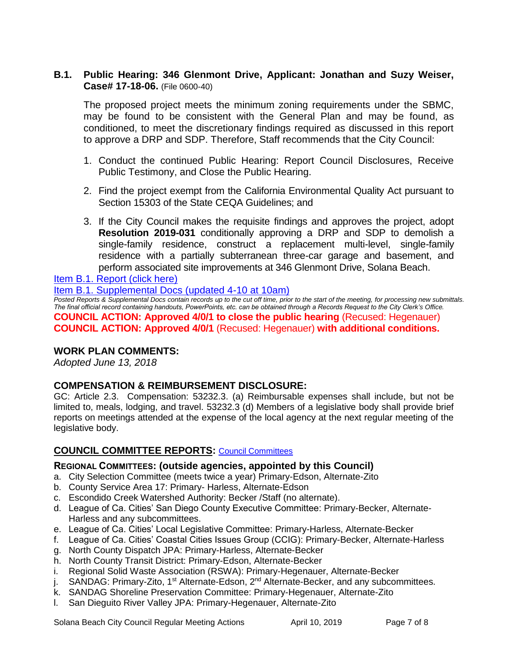## **B.1. Public Hearing: 346 Glenmont Drive, Applicant: Jonathan and Suzy Weiser, Case# 17-18-06.** (File 0600-40)

The proposed project meets the minimum zoning requirements under the SBMC, may be found to be consistent with the General Plan and may be found, as conditioned, to meet the discretionary findings required as discussed in this report to approve a DRP and SDP. Therefore, Staff recommends that the City Council:

- 1. Conduct the continued Public Hearing: Report Council Disclosures, Receive Public Testimony, and Close the Public Hearing.
- 2. Find the project exempt from the California Environmental Quality Act pursuant to Section 15303 of the State CEQA Guidelines; and
- 3. If the City Council makes the requisite findings and approves the project, adopt **Resolution 2019-031** conditionally approving a DRP and SDP to demolish a single-family residence, construct a replacement multi-level, single-family residence with a partially subterranean three-car garage and basement, and perform associated site improvements at 346 Glenmont Drive, Solana Beach.

[Item B.1. Report \(click here\)](https://solanabeach.govoffice3.com/vertical/Sites/%7B840804C2-F869-4904-9AE3-720581350CE7%7D/uploads/Item_B.1._Report_(click_here)_04-10-19_-_O.pdf) 

[Item B.1. Supplemental Docs \(updated 4-10 at 10am\)](https://solanabeach.govoffice3.com/vertical/Sites/%7B840804C2-F869-4904-9AE3-720581350CE7%7D/uploads/B.1._Supplemental_Docs_(Updated_4-10_at_915am).pdf)

*Posted Reports & Supplemental Docs contain records up to the cut off time, prior to the start of the meeting, for processing new submittals. The final official record containing handouts, PowerPoints, etc. can be obtained through a Records Request to the City Clerk's Office.* **COUNCIL ACTION: Approved 4/0/1 to close the public hearing** (Recused: Hegenauer) **COUNCIL ACTION: Approved 4/0/1** (Recused: Hegenauer) **with additional conditions.** 

## **WORK PLAN COMMENTS:**

*Adopted June 13, 2018*

## **COMPENSATION & REIMBURSEMENT DISCLOSURE:**

GC: Article 2.3. Compensation: 53232.3. (a) Reimbursable expenses shall include, but not be limited to, meals, lodging, and travel. 53232.3 (d) Members of a legislative body shall provide brief reports on meetings attended at the expense of the local agency at the next regular meeting of the legislative body.

# **COUNCIL COMMITTEE REPORTS:** [Council Committees](https://www.ci.solana-beach.ca.us/index.asp?SEC=584E1192-3850-46EA-B977-088AC3E81E0D&Type=B_BASIC)

## **REGIONAL COMMITTEES: (outside agencies, appointed by this Council)**

- a. City Selection Committee (meets twice a year) Primary-Edson, Alternate-Zito
- b. County Service Area 17: Primary- Harless, Alternate-Edson
- c. Escondido Creek Watershed Authority: Becker /Staff (no alternate).
- d. League of Ca. Cities' San Diego County Executive Committee: Primary-Becker, Alternate-Harless and any subcommittees.
- e. League of Ca. Cities' Local Legislative Committee: Primary-Harless, Alternate-Becker
- f. League of Ca. Cities' Coastal Cities Issues Group (CCIG): Primary-Becker, Alternate-Harless
- g. North County Dispatch JPA: Primary-Harless, Alternate-Becker
- h. North County Transit District: Primary-Edson, Alternate-Becker
- i. Regional Solid Waste Association (RSWA): Primary-Hegenauer, Alternate-Becker
- j. SANDAG: Primary-Zito, 1<sup>st</sup> Alternate-Edson, 2<sup>nd</sup> Alternate-Becker, and any subcommittees.
- k. SANDAG Shoreline Preservation Committee: Primary-Hegenauer, Alternate-Zito
- l. San Dieguito River Valley JPA: Primary-Hegenauer, Alternate-Zito